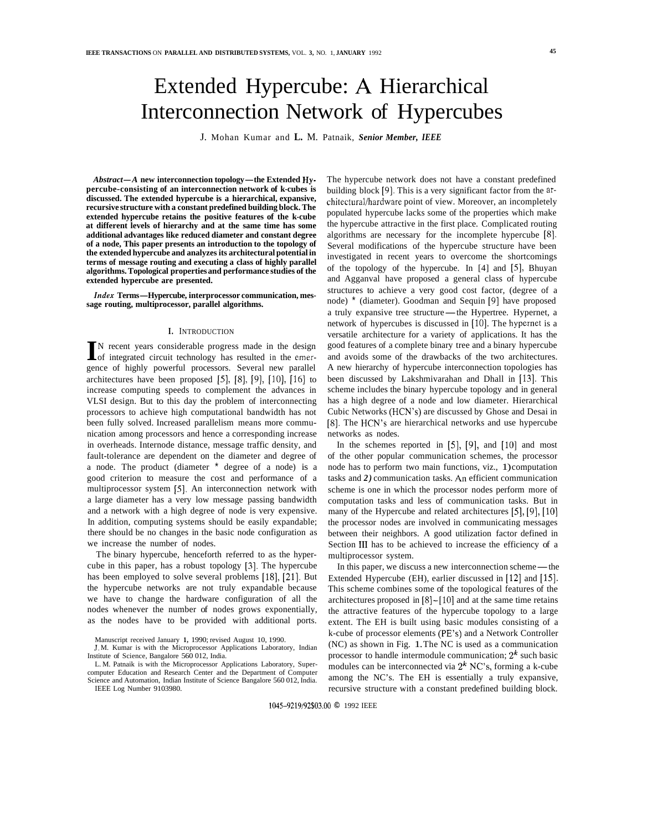# Extended Hypercube: **A** Hierarchical Interconnection Network of Hypercubes

J. Mohan Kumar and **L.** M. Patnaik, *Senior Member, IEEE* 

*Abstract-A* **new interconnection topology-the Extended Hypercube-consisting of an interconnection network of k-cubes is discussed. The extended hypercube is a hierarchical, expansive, recursive structure with a constant predefined building block. The extended hypercube retains the positive features of the k-cube at different levels of hierarchy and at the same time has some additional advantages like reduced diameter and constant degree of a node, This paper presents an introduction to the topology of the extended hypercube and analyzes its architectural potential in terms of message routing and executing a class of highly parallel algorithms. Topological properties and performance studies of the extended hypercube are presented.** 

*Index* **Terms-Hypercube, interprocessor communication, message routing, multiprocessor, parallel algorithms.** 

#### **I.** INTRODUCTION

IN recent years considerable progress made in the design of integrated circuit technology has resulted in the emergence of highly powerful processors. Several new parallel architectures have been proposed *[5],* [S], [9], [lo], [16] to increase computing speeds to complement the advances in VLSI design. But to this day the problem of interconnecting processors to achieve high computational bandwidth has not been fully solved. Increased parallelism means more communication among processors and hence a corresponding increase in overheads. Internode distance, message traffic density, and fault-tolerance are dependent on the diameter and degree of a node. The product (diameter \* degree of a node) is a good criterion to measure the cost and performance of a multiprocessor system [5]. An interconnection network with a large diameter has a very low message passing bandwidth and a network with a high degree of node is very expensive. In addition, computing systems should be easily expandable; there should be no changes in the basic node configuration as we increase the number of nodes.

The binary hypercube, henceforth referred to as the hypercube in this paper, has a robust topology (31. The hypercube has been employed to solve several problems [18], [21]. But the hypercube networks are not truly expandable because we have to change the hardware configuration of all the nodes whenever the number of nodes grows exponentially, as the nodes have to be provided with additional ports.

Manuscript received January **1,** 1990; revised August 10, 1990.

IEEE Log Number 9103980.

The hypercube network does not have a constant predefined building block [9]. This is a very significant factor from the architectural/hardware point of view. Moreover, an incompletely populated hypercube lacks some of the properties which make the hypercube attractive in the first place. Complicated routing algorithms are necessary for the incomplete hypercube [8]. Several modifications of the hypercube structure have been investigated in recent years to overcome the shortcomings of the topology of the hypercube. In [4] and [5], Bhuyan and Agganval have proposed a general class of hypercube structures to achieve a very good cost factor, (degree of a node) \* (diameter). Goodman and Sequin [9] have proposed a truly expansive tree structure-the Hypertree. Hypernet, a network of hypercubes is discussed in  $[10]$ . The hypernet is a versatile architecture for a variety of applications. It has the good features of a complete binary tree and a binary hypercube and avoids some of the drawbacks of the two architectures. A new hierarchy of hypercube interconnection topologies has been discussed by Lakshmivarahan and Dhall in [13]. This scheme includes the binary hypercube topology and in general has a high degree of a node and low diameter. Hierarchical Cubic Networks (HCN's) are discussed by Ghose and Desai in **[8].** The HCN's are hierarchical networks and use hypercube networks as nodes.

In the schemes reported in  $[5]$ ,  $[9]$ , and  $[10]$  and most of the other popular communication schemes, the processor node has to perform two main functions, viz., 1) computation tasks and *2)* communication tasks. *An* efficient communication scheme is one in which the processor nodes perform more of computation tasks and less of communication tasks. But in many of the Hypercube and related architectures [5], [9], [10] the processor nodes are involved in communicating messages between their neighbors. A good utilization factor defined in Section **I11** has to be achieved to increase the efficiency of a multiprocessor system.

In this paper, we discuss a new interconnection scheme—the Extended Hypercube (EH), earlier discussed in [12] and [15]. This scheme combines some of the topological features of the architectures proposed in  $[8]$ - $[10]$  and at the same time retains the attractive features of the hypercube topology to a large extent. The EH is built using basic modules consisting of a k-cube of processor elements (PE's) and a Network Controller (NC) as shown in Fig. 1. The NC is used as a communication processor to handle intermodule communication;  $2^k$  such basic modules can be interconnected via *2k* NC's, forming a k-cube among the NC's. The EH is essentially a truly expansive, recursive structure with a constant predefined building block.

J. M. Kumar is with the Microprocessor Applications Laboratory, Indian Institute of Science, Bangalore 560 012, India.

L. M. Patnaik is with the Microprocessor Applications Laboratory, Supercomputer Education and Research Center and the Department of Computer Science and Automation, Indian Institute of Science Bangalore 560 012, India.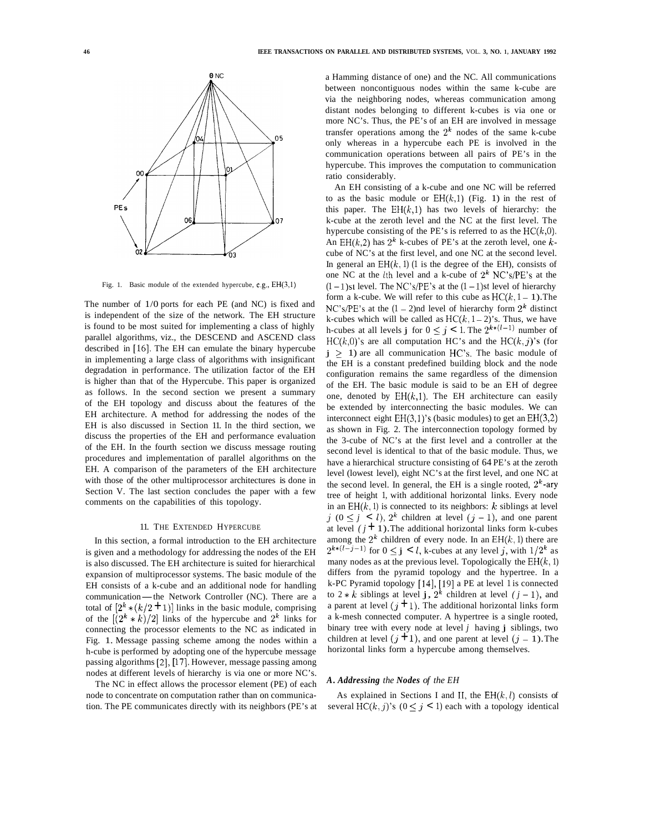

Fig. 1. Basic module of the extended hypercube, e.g., EH(3,l)

The number of 1/0 ports for each PE (and NC) is fixed and is independent of the size of the network. The EH structure is found to be most suited for implementing a class of highly parallel algorithms, viz., the DESCEND and ASCEND class described in **[16].** The EH can emulate the binary hypercube in implementing a large class of algorithms with insignificant degradation in performance. The utilization factor of the EH is higher than that of the Hypercube. This paper is organized as follows. In the second section we present a summary of the EH topology and discuss about the features of the EH architecture. A method for addressing the nodes of the EH is also discussed in Section 11. In the third section, we discuss the properties of the EH and performance evaluation of the EH. In the fourth section we discuss message routing procedures and implementation of parallel algorithms on the EH. A comparison of the parameters of the EH architecture with those of the other multiprocessor architectures is done in Section V. The last section concludes the paper with a few comments on the capabilities of this topology.

# 11. THE EXTENDED HYPERCUBE

In this section, a formal introduction to the EH architecture is given and a methodology for addressing the nodes of the EH is also discussed. The EH architecture is suited for hierarchical expansion of multiprocessor systems. The basic module of the EH consists of a k-cube and an additional node for handling communication-the Network Controller (NC). There are a total of  $[2^k * (k/2 + 1)]$  links in the basic module, comprising of the  $\left[\frac{2^k * k}{2}\right]$  links of the hypercube and  $2^k$  links for connecting the processor elements to the NC as indicated in Fig. 1. Message passing scheme among the nodes within a h-cube is performed by adopting one of the hypercube message passing algorithms [2], [17]. However, message passing among nodes at different levels of hierarchy is via one or more NC's.

The NC in effect allows the processor element (PE) of each node to concentrate on computation rather than on communication. The PE communicates directly with its neighbors (PE's at a Hamming distance of one) and the NC. All communications between noncontiguous nodes within the same k-cube are via the neighboring nodes, whereas communication among distant nodes belonging to different k-cubes is via one or more NC's. Thus, the PE's of an EH are involved in message transfer operations among the  $2<sup>k</sup>$  nodes of the same k-cube only whereas in a hypercube each PE is involved in the communication operations between all pairs of PE's in the hypercube. This improves the computation to communication ratio considerably.

An EH consisting of a k-cube and one NC will be referred to as the basic module or  $EH(k,1)$  (Fig. 1) in the rest of this paper. The  $EH(k,1)$  has two levels of hierarchy: the k-cube at the zeroth level and the NC at the first level. The hypercube consisting of the PE's is referred to as the  $HC(k,0)$ . An  $EH(k,2)$  has  $2^k$  k-cubes of PE's at the zeroth level, one  $k$ cube of NC's at the first level, and one NC at the second level. In general an  $EH(k, 1)$  (1 is the degree of the EH), consists of one NC at the lth level and a k-cube of *2k* NC's/PE's at the  $(1 – 1)$ st level. The NC's/PE's at the  $(1 – 1)$ st level of hierarchy form a k-cube. We will refer to this cube as  $HC(k, 1 – 1)$ . The NC's/PE's at the  $(1 – 2)$ nd level of hierarchy form  $2<sup>k</sup>$  distinct k-cubes which will be called as  $HC(k, 1-2)$ 's. Thus, we have h-cubes at all levels j for  $0 \leq j < 1$ . The  $2^{k*(l-1)}$  number of  $HC(k,0)$ 's are all computation HC's and the HC(k, j)'s (for  $j > 1$ ) are all communication HC's. The basic module of the EH is a constant predefined building block and the node configuration remains the same regardless of the dimension of the EH. The basic module is said to be an EH of degree one, denoted by  $EH(k,1)$ . The EH architecture can easily be extended by interconnecting the basic modules. We can interconnect eight  $EH(3,1)$ 's (basic modules) to get an  $EH(3,2)$ as shown in Fig. 2. The interconnection topology formed by the 3-cube of NC's at the first level and a controller at the second level is identical to that of the basic module. Thus, we have a hierarchical structure consisting of 64 PE's at the zeroth level (lowest level), eight NC's at the first level, and one NC at the second level. In general, the EH is a single rooted,  $2<sup>k</sup>$ -ary tree of height 1, with additional horizontal links. Every node in an  $EH(k, 1)$  is connected to its neighbors:  $k$  siblings at level *j*  $(0 \le j \le l)$ ,  $2^k$  children at level  $(j - 1)$ , and one parent at level  $(j + 1)$ . The additional horizontal links form k-cubes among the  $2^k$  children of every node. In an  $EH(k, 1)$  there are  $2^{k*(l-j-1)}$  for  $0 \leq j \leq l$ , k-cubes at any level j, with  $1/2^k$  as many nodes as at the previous level. Topologically the  $EH(k, 1)$ differs from the pyramid topology and the hypertree. In a k-PC Pyramid topology [14], [19] a PE at level 1 is connected to  $2 * k$  siblings at level j,  $2^k$  children at level  $(j - 1)$ , and a parent at level  $(j + 1)$ . The additional horizontal links form a k-mesh connected computer. A hypertree is a single rooted, binary tree with every node at level *j* having j siblings, two children at level  $(j + 1)$ , and one parent at level  $(j - 1)$ . The horizontal links form a hypercube among themselves.

### *A. Addressing the Nodes of the EH*

As explained in Sections I and II, the  $EH(k, l)$  consists of several HC(k, j)'s ( $0 \leq j \leq 1$ ) each with a topology identical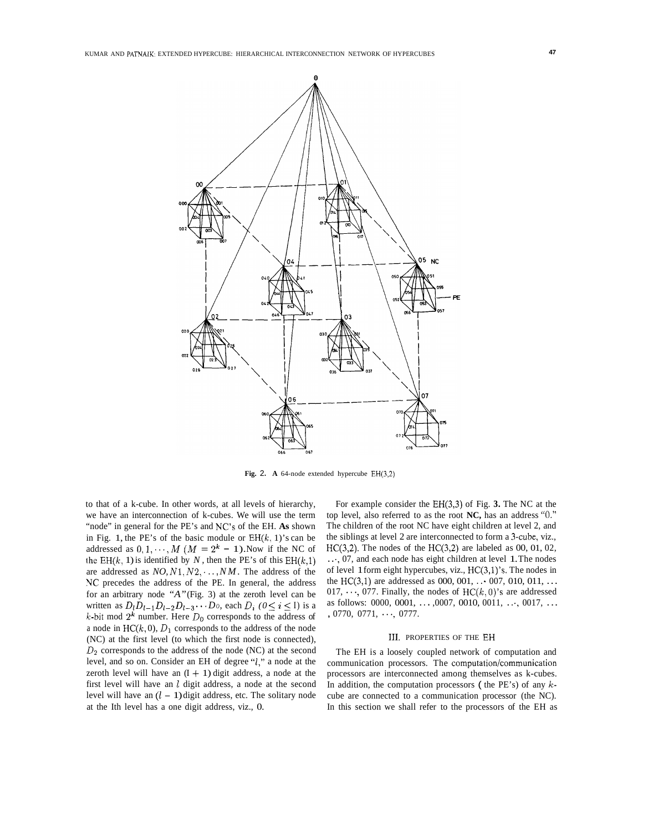

**Fig.** 2. **A** 64-node extended hypercube EH(3,2)

to that of a k-cube. In other words, at all levels of hierarchy, we have an interconnection of k-cubes. We will use the term "node" in general for the PE's and NC's of the EH. **As** shown in Fig. 1, the PE's of the basic module or  $EH(k, 1)$ 's can be addressed as  $0, 1, \dots, M$  ( $M = 2<sup>k</sup> - 1$ ). Now if the NC of the EH(k, 1) is identified by *N*, then the PE's of this EH(k,1) are addressed as  $NO, N1, N2, \dots, NM$ . The address of the NC precedes the address of the PE. In general, the address for an arbitrary node *"A"* (Fig. 3) at the zeroth level can be written as  $D_l D_{l-1} D_{l-2} D_{l-3} \cdots D_0$ , each  $D_i$  ( $0 \le i \le I$ ) is a  $k$ -bit mod  $2^k$  number. Here  $D_0$  corresponds to the address of a node in  $HC(k, 0), D_1$  corresponds to the address of the node (NC) at the first level (to which the first node is connected), *D2* corresponds to the address of the node (NC) at the second level, and so on. Consider an EH of degree *"1,"* a node at the zeroth level will have an  $(I + 1)$  digit address, a node at the first level will have an *1* digit address, a node at the second level will have an  $(l - 1)$  digit address, etc. The solitary node at the Ith level has a one digit address, viz., 0.

For example consider the EH(3,3) of Fig. **3.** The NC at the top level, also referred to as the root **NC,** has an address **"0."**  The children of the root NC have eight children at level 2, and the siblings at level 2 are interconnected to form a 3-cube, viz., HC(3,2). The nodes of the HC(3,2) are labeled as  $00$ ,  $01$ ,  $02$ , . . ., 07, and each node has eight children at level 1. The nodes of level 1 form eight hypercubes, viz.,  $HC(3,1)$ 's. The nodes in the HC(3,1) are addressed as 000, 001,  $\ldots$  007, 010, 011,  $\ldots$ 017,  $\cdots$ , 077. Finally, the nodes of HC( $k$ , 0)'s are addressed as follows: 0000, 0001, ..., 0007, 0010, 0011, ..., 0017, ...<br>, 0770, 0771, ..., 0777.

#### 111. PROPERTIES OF THE EH

The EH is a loosely coupled network of computation and communication processors. The computation/communication processors are interconnected among themselves as k-cubes. In addition, the computation processors ( the PE's) of any *k*cube are connected to a communication processor (the NC). In this section we shall refer to the processors of the EH as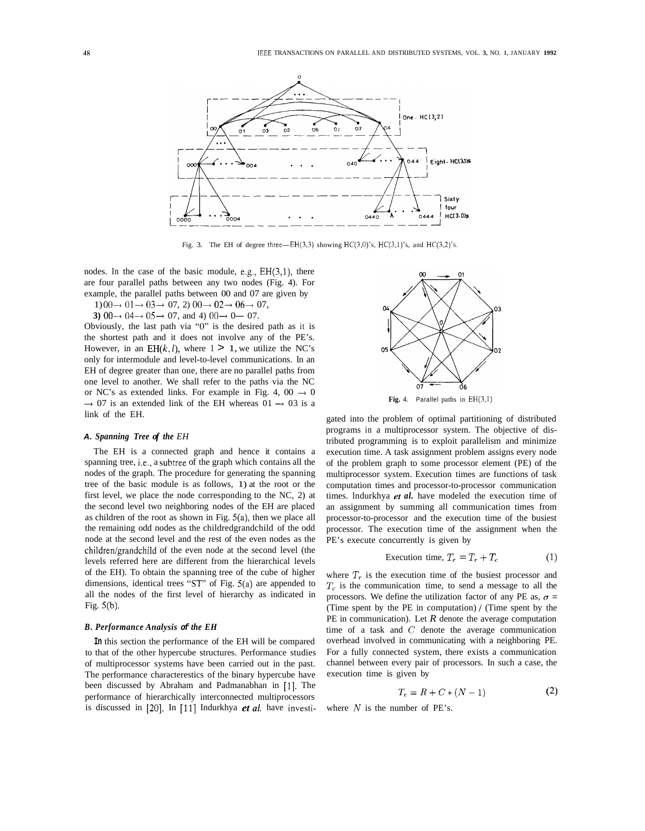

Fig. 3. The EH of degree three- $EH(3,3)$  showing  $HC(3,0)$ 's,  $HC(3,1)$ 's, and  $HC(3,2)$ 's.

nodes. In the case of the basic module, e.g., EH(3,1), there are four parallel paths between any two nodes (Fig. 4). For example, the parallel paths between 00 and 07 are given by

1)  $00 \rightarrow 01 \rightarrow 03 \rightarrow 07$ , 2)  $00 \rightarrow 02 \rightarrow 06 \rightarrow 07$ ,<br>
3)  $00 \rightarrow 04 \rightarrow 05 \rightarrow 07$ , and 4)  $00 \rightarrow 0 \rightarrow 07$ .

Obviously, the last path via "0" is the desired path as it is the shortest path and it does not involve any of the PE's. However, in an EH $(k, l)$ , where  $1 > 1$ , we utilize the NC's only for intermodule and level-to-level communications. In an EH of degree greater than one, there are no parallel paths from one level to another. We shall refer to the paths via the NC or NC's as extended links. For example in Fig. 4, 00  $\rightarrow$  0<br>07 is an extended link of the EH whereas 01  $\rightarrow$  03 is a link of the EH.

#### *A. Spanning Tree of the EH*

The EH is a connected graph and hence it contains a spanning tree, i.e., a subtree of the graph which contains all the nodes of the graph. The procedure for generating the spanning tree of the basic module is as follows, 1) at the root or the first level, we place the node corresponding to the NC, 2) at the second level two neighboring nodes of the EH are placed as children of the root as shown in Fig. 5(a), then we place all the remaining odd nodes as the childredgrandchild of the odd node at the second level and the rest of the even nodes as the children/grandchild of the even node at the second level (the levels referred here are different from the hierarchical levels of the EH). To obtain the spanning tree of the cube of higher dimensions, identical trees "ST" of Fig. 5(a) are appended to all the nodes of the first level of hierarchy as indicated in Fig. 5(b).

#### *B. Performance Analysis of the EH*

**In** this section the performance of the EH will be compared to that of the other hypercube structures. Performance studies of multiprocessor systems have been carried out in the past. The performance characterestics of the binary hypercube have been discussed by Abraham and Padmanabhan in [l]. The performance of hierarchically interconnected multiprocessors is discussed in [20]. In [ll] Indurkhya *et al.* have investi-



gated into the problem of optimal partitioning of distributed programs in a multiprocessor system. The objective of distributed programming is to exploit parallelism and minimize execution time. A task assignment problem assigns every node of the problem graph to some processor element (PE) of the multiprocessor system. Execution times are functions of task computation times and processor-to-processor communication times. lndurkhya *et al.* have modeled the execution time of an assignment by summing all communication times from processor-to-processor and the execution time of the busiest processor. The execution time of the assignment when the PE's execute concurrently is given by

$$
Execution time, T_e = T_r + T_c \tag{1}
$$

where  $T_r$  is the execution time of the busiest processor and *T,* is the communication time, to send a message to all the processors. We define the utilization factor of any PE as,  $\sigma$  = (Time spent by the PE in computation) *1* (Time spent by the PE in communication). Let *R* denote the average computation time of a task and *C* denote the average communication overhead involved in communicating with a neighboring PE. For a fully connected system, there exists a communication channel between every pair of processors. In such a case, the execution time is given by

$$
T_e = R + C * (N - 1) \tag{2}
$$

where *N* is the number of PE's.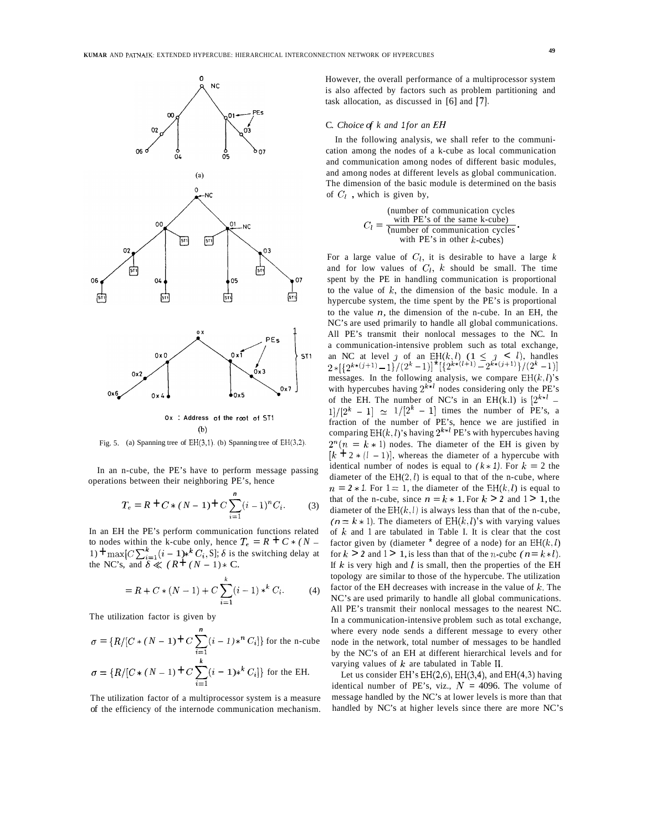

**Ox** : **Address of the** root of ST1 (b)

Fig. 5. (a) Spanning tree of  $EH(3,1)$ . (b) Spanning tree of  $EH(3,2)$ .

In an n-cube, the PE's have to perform message passing operations between their neighboring PE's, hence

$$
T_e = R + C * (N - 1) + C \sum_{i=1}^{n} (i - 1)^n C_i.
$$
 (3)

In an EH the PE's perform communication functions related to nodes within the k-cube only, hence  $T_e = R + C * (N$ to nodes within the k-cube only, hence  $I_e = K + C * (N - 1) + \max[ C \sum_{i=1}^k (i-1) *^k C_i, S]$ ; *S* is the switching delay at 1)  $\text{Im}\text{max}_{C}\left\{\frac{C}{2}\right\}_{i=1}^{n}$  ( $i-1$ )\*  $C_i$ , S|;  $\delta$  is the NC's, and  $\delta \ll (R + (N - 1) * C)$ .

$$
= R + C * (N - 1) + C \sum_{i=1}^{k} (i - 1) *^{k} C_{i}.
$$
 (4)

The utilization factor is given by

$$
\sigma = \{R/[C*(N-1)+C\sum_{i=1}^{n} (i - 1)*^{n}C_{i}]\} \text{ for the n-cube}
$$

$$
\sigma = \{R/[C*(N-1)+C\sum_{i=1}^{k} (i - 1)*^{k}C_{i}]\} \text{ for the EH.}
$$

The utilization factor of a multiprocessor system is a measure of the efficiency of the internode communication mechanism.

However, the overall performance of a multiprocessor system is also affected by factors such as problem partitioning and task allocation, as discussed in [6] and [7].

# C. *Choice of k and 1 for an EH*

In the following analysis, we shall refer to the communication among the nodes of a k-cube as local communication and communication among nodes of different basic modules, and among nodes at different levels as global communication. The dimension of the basic module is determined on the basis of  $C_l$ , which is given by,

> (number of communication cycles with PE's of the same k-cube)  $C_l = \frac{\text{with } P \text{ is of the same } K\text{-cube}}{\text{(number of communication cycles)}}$ <br>with PE's in other k-cubes)

For a large value of  $C_l$ , it is desirable to have a large k and for low values of  $C_l$ , k should be small. The time spent by the PE in handling communication is proportional to the value of *k,* the dimension of the basic module. In a hypercube system, the time spent by the PE's is proportional to the value  $n$ , the dimension of the n-cube. In an EH, the NC's are used primarily to handle all global communications. All PE's transmit their nonlocal messages to the NC. In a communication-intensive problem such as total exchange, an NC at level *j* of an  $\mathrm{EH}(k,l)$  ( $1 \leq j \leq l$ ), handles  $2*[{2^{k*(j+1)}-1}]/({2^k-1})^{\dagger} [{2^{k*(l+1)}-2^{k*(j+1)}}]/({2^k-1})$ messages. In the following analysis, we compare  $EH(k, l)$ 's with hypercubes having  $2^{k+l}$  nodes considering only the PE's of the EH. The number of NC's in an EH(k.l) is  $2^{k+l}$  - $1!/[2^k - 1] \simeq 1/[2^k - 1]$  times the number of PE's, a fraction of the number of PE's, hence we are justified in comparing  $EH(k, l)$ 's having  $2^{k+l}$  PE's with hypercubes having  $2^{n}(n = k * 1)$  nodes. The diameter of the EH is given by  $[k + 2 * (I - 1)]$ , whereas the diameter of a hypercube with identical number of nodes is equal to  $(k * 1)$ . For  $k = 2$  the diameter of the  $EH(2, l)$  is equal to that of the n-cube, where  $n = 2 * 1$ . For  $1 = 1$ , the diameter of the EH(k, *l*) is equal to that of the n-cube, since  $n = k \times 1$ . For  $k > 2$  and  $1 > 1$ , the diameter of the  $EH(k, l)$  is always less than that of the n-cube,  $(n = k \times 1)$ . The diameters of EH $(k, l)$ 's with varying values of *k* and 1 are tabulated in Table I. It is clear that the cost factor given by (diameter  $*$  degree of a node) for an  $EH(k, l)$ for  $k > 2$  and  $1 > 1$ , is less than that of the *n*-cube  $(n = k * l)$ . If  $k$  is very high and  $l$  is small, then the properties of the EH topology are similar to those of the hypercube. The utilization factor of the EH decreases with increase in the value of *k.* The NC's are used primarily to handle all global communications. All PE's transmit their nonlocal messages to the nearest NC. In a communication-intensive problem such as total exchange, where every node sends a different message to every other node in the network, total number of messages to be handled by the NC's of an EH at different hierarchical levels and for varying values of *k* are tabulated in Table **11.** 

Let us consider  $EH$ 's  $EH(2,6)$ ,  $EH(3,4)$ , and  $EH(4,3)$  having identical number of PE's, viz.,  $N = 4096$ . The volume of message handled by the NC's at lower levels is more than that handled by NC's at higher levels since there are more NC's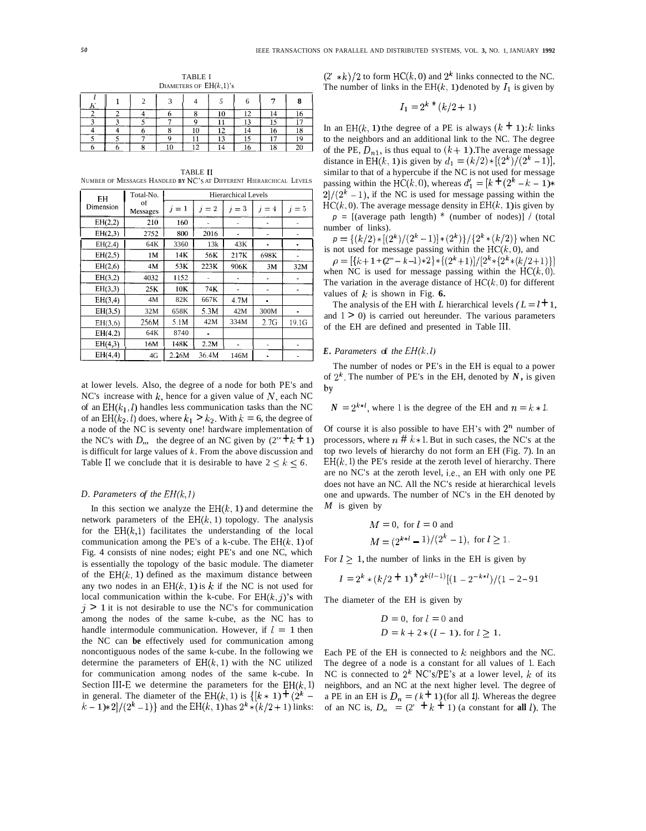TABLE I DIAMETERS OF  $EH(k,1)$ 's

|  |  | ∽<br>٠ |  | . . | я |
|--|--|--------|--|-----|---|
|  |  |        |  |     |   |
|  |  |        |  |     |   |
|  |  |        |  |     |   |
|  |  |        |  |     |   |
|  |  |        |  |     |   |

TABLE I1 NUMBER OF MESSAGES HANDLED **BY** NC'S AT DIFFERENT HIERARCHICAL LEVELS

| EH        | Total-No.      |       |       | <b>Hierarchical Levels</b> |       |                |
|-----------|----------------|-------|-------|----------------------------|-------|----------------|
| Dimension | oť<br>Messages | $i=1$ | $i=2$ | $i=3$                      | $i=4$ | $=5$           |
| EH(2,2)   | 210            | 160   |       |                            |       |                |
| EH(2,3)   | 2752           | 800   | 2016  |                            |       |                |
| EH(2,4)   | 64K            | 3360  | 13k   | 43K                        | ä,    | $\blacksquare$ |
| EH(2,5)   | 1M             | 14K   | 56K   | 217K                       | 698K  |                |
| EH(2,6)   | 4M             | 53K   | 223K  | 906K                       | 3M    | 32M            |
| EH(3,2)   | 4032           | 1152  |       |                            |       |                |
| EH(3,3)   | 25K            | 10K   | 74K   |                            |       |                |
| EH(3,4)   | 4M             | 82K   | 667K  | 4.7M                       |       |                |
| EH(3,5)   | 32M            | 658K  | 5.3M  | 42M                        | 300M  |                |
| EH(3,6)   | 256M           | 5.1M  | 42M   | 334M                       | 2.7G  | 19.1G          |
| EH(4,2)   | 64K            | 8740  |       |                            |       |                |
| EH(4,3)   | 16M            | 148K  | 2.2M  |                            |       |                |
| EH(4,4)   | 4G             | 2.26M | 36.4M | 146M                       |       |                |

at lower levels. Also, the degree of a node for both PE's and NC's increase with *k,* hence for a given value of *N,* each NC of an  $EH(k_1, l)$  handles less communication tasks than the NC of an  $EH(k_2, l)$  does, where  $k_1 > k_2$ . With  $k = 6$ , the degree of a node of the NC is seventy one! hardware implementation of the NC's with *D*,, the degree of an NC given by  $(2^{\omega} + k + 1)$ is difficult for large values of *k.* From the above discussion and Table II we conclude that it is desirable to have  $2 \leq k \leq 6$ .

#### *D. Parameters of the EH(k,l)*

In this section we analyze the  $EH(k, 1)$  and determine the network parameters of the  $EH(k, 1)$  topology. The analysis for the  $EH(k,1)$  facilitates the understanding of the local communication among the PE's of a k-cube. The  $EH(k, 1)$  of Fig. 4 consists of nine nodes; eight PE's and one NC, which is essentially the topology of the basic module. The diameter of the  $EH(k, 1)$  defined as the maximum distance between any two nodes in an  $EH(k, 1)$  is k if the NC is not used for local communication within the k-cube. For  $EH(k, j)$ 's with  $j > 1$  it is not desirable to use the NC's for communication among the nodes of the same k-cube, as the NC has to handle intermodule communication. However, if  $l = 1$  then the NC can **be** effectively used for communication among noncontiguous nodes of the same k-cube. In the following we determine the parameters of  $EH(k, 1)$  with the NC utilized for communication among nodes of the same k-cube. In Section III-E we determine the parameters for the  $EH(k, 1)$ in general. The diameter of the EH(k, 1) is  $\{[k*1] + (2^k (k-1)*2/(2<sup>k</sup> - 1)$ } and the EH(k, 1) has  $2<sup>k</sup> * (k/2+1)$  links:  $(2' * k)/2$  to form HC(k, 0) and  $2^k$  links connected to the NC. The number of links in the  $EH(k, 1)$  denoted by  $I_1$  is given by

$$
I_1 = 2^{k \cdot \bullet} (k/2 + 1)
$$

In an EH(k, 1) the degree of a PE is always  $(k + 1)$ : *k* links to the neighbors and an additional link to the NC. The degree of the PE,  $D_{n1}$ , is thus equal to  $(k+1)$ . The average message distance in EH(k, 1) is given by  $d_1 = (k/2) * [(2^k)/(2^k - 1)],$ similar to that of a hypercube if the NC is not used for message passing within the HC(k, 0), whereas  $d'_1 = [k + (2^k - k - 1) *$  $2/(2<sup>k</sup> - 1)$ , if the NC is used for message passing within the  $HC(k, 0)$ . The average message density in  $EH(k, 1)$  is given by

 $p = \left[$ (average path length) \* (number of nodes) $\left]$  / (total number of links).

 $p = \{(k/2) * [(2^k)/(2^k-1)] * (2^k)\}/{2^k * (k/2)}$  when NC is not used for message passing within the  $HC(k, 0)$ , and

when NC is used for message passing within the  $HC(k,0)$ . The variation in the average distance of  $HC(k, 0)$  for different values of  $k$  is shown in Fig. 6.  $\rho = [\{k+1+2^m - k-1\} \cdot 2 \} \cdot \{(2^k+1)]/[2^k \cdot \{(2^k \cdot (k/2+1))\}]$ 

The analysis of the EH with *L* hierarchical levels  $(L = l + 1)$ , and  $1 \geq 0$ ) is carried out hereunder. The various parameters of the EH are defined and presented in Table **111.** 

# *E. Parameters* of *the EH(k, l)*

The number of nodes or PE's in the EH is equal to a power of  $2^k$ . The number of PE's in the EH, denoted by *N*, is given by

 $N = 2^{k+l}$ , where 1 is the degree of the EH and  $n = k * 1$ .

Of course it is also possible to have EH's with  $2^n$  number of processors, where  $n \# k * 1$ . But in such cases, the NC's at the top two levels of hierarchy do not form an EH (Fig. 7). In an  $EH(k, 1)$  the PE's reside at the zeroth level of hierarchy. There are no NC's at the zeroth level, i.e., an EH with only one PE does not have an NC. All the NC's reside at hierarchical levels one and upwards. The number of NC's in the EH denoted by *M* is given by

$$
M = 0
$$
, for  $l = 0$  and  
\n $M = (2^{k+l} - 1)/(2^k - 1)$ , for  $l \ge 1$ .

For  $l > 1$ , the number of links in the EH is given by

$$
I = 2^{k} * (k/2 + 1)^{*} 2^{k(l-1)}[(1 - 2^{-k+l})/(1 - 2 - 91)]
$$

The diameter of the EH is given by

$$
D = 0, \text{ for } l = 0 \text{ and}
$$
  

$$
D = k + 2 * (l - 1). \text{ for } l \ge 1.
$$

Each PE of the EH is connected to *k* neighbors and the NC. The degree of a node is a constant for all values of 1. Each NC is connected to  $2^k$  NC's/PE's at a lower level,  $k$  of its neighbors, and an NC at the next higher level. The degree of a PE in an EH is  $D_n = (k+1)$  (for all 1). Whereas the degree of an NC is,  $D_n = (2^r + k + 1)$  (a constant for **all** *l*). The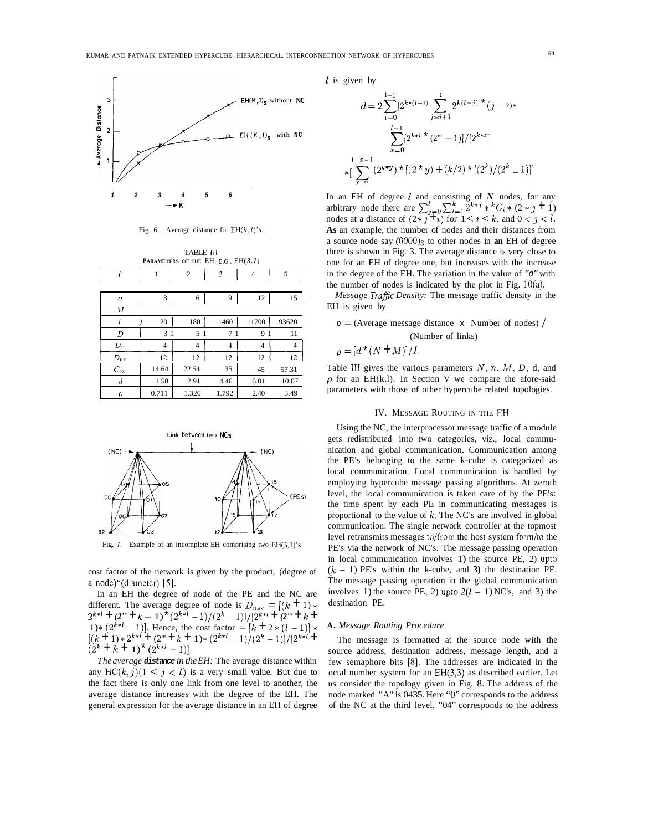

Fig. 6. Average distance for  $EH(k, l)$ 's.

|                  |                | TABLE III<br><b>PARAMETERS</b> OF THE EH, E.G, $EH(3.1)$ |       |       |       |
|------------------|----------------|----------------------------------------------------------|-------|-------|-------|
| l                | 1              | $\overline{c}$                                           | 3     | 4     | 5     |
|                  |                |                                                          |       |       |       |
| n                | 3              | 6                                                        | 9     | 12    | 15    |
| $\overline{M}$   |                |                                                          |       |       |       |
| I                | 20             | 180                                                      | 1460  | 11700 | 93620 |
| D                | 3 <sub>1</sub> | 5 <sub>1</sub>                                           | 71    | 91    | 11    |
| $D_n$            | 4              | 4                                                        | 4     | 4     | 4     |
| $D_{\rm nc}$     | 12             | 12                                                       | 12    | 12    | 12    |
| $C_m$            | 14.64          | 22.54                                                    | 35    | 45    | 57.31 |
| $\boldsymbol{d}$ | 1.58           | 2.91                                                     | 4.46  | 6.01  | 10.07 |
| ρ                | 0.711          | 1.326                                                    | 1.792 | 2.40  | 3.49  |



Fig. 7. Example of an incomplete EH comprising two EH(3,l)'s

cost factor of the network is given by the product, (degree of a node)\*(diameter) *[5].* 

In an EH the degree of node of the PE and the NC are different. The average degree of node is  $D_{\text{nav}} = [(k + 1) *$  $2^{n+1}$  **+**  $(2^m$  **+**  $k$  + 1)  $(2^{n+1}-1)/(2^n-1))/[2^{n+1}$  **+**  $(2^m$  **+**  $k$  **+**  $(1)$  **+**  $k$  **+**  $(k+1)$ . Hence, the cost factor =  $[k+2*(l-1)]$  \* 1)\*  $[2^{k+1}-1]$ . Hence, the cost factor =  $[k+1]$  \*  $[2^{k+1}-1]$  / $[2^{k+1}+1]$  \*  $[2^k+1]$  \*  $[2^{k+1}-1]$  / $[2^{k+1}+1]$  \*  $[2^{k+1}-1]$  / $[2^{k+1}+1]$  \*  $[2^{k+1}-1]$  / $[2^{k+1}+1]$  \*  $[2^{k+1}-1]$   $[2^{k+1}-1]$   $[2^{k+1}-1]$   $[2^{k+1}-1]$ different. The average degree of node is  $D_{\text{nav}} = \frac{((k+1)*}{2^{k+l}} + \frac{2^m}{k} + \frac{1}{2^m} + \frac{1}{k+1} + \frac{2^{k+l}}{2^m} + \frac{1}{k+1} + \frac{1}{k+1}$  $(2^k + k + 1)^*(2^{k+l} - 1)$ .

*The average distance in the EH:* The average distance within any  $HC(k, j)(1 \leq j < l)$  is a very small value. But due to the fact there is only one link from one level to another, the average distance increases with the degree of the EH. The general expression for the average distance in an EH of degree *1* is given by

$$
d = 2 \sum_{i=0}^{I-1} [2^{k*(I-i)} \sum_{j=i+1}^{I} 2^{k(I-j)} \times (j-2) +
$$

$$
\sum_{x=0}^{I-1} [2^{k+l} \times (2^m - 1)]/[2^{k*x}]
$$

$$
+ [\sum_{y=0}^{I-x-1} (2^{k*y}) \times [(2*y) + (k/2) \times [(2^k)/(2^k - 1)]]
$$

In an EH of degree *l* and consisting of *N* nodes, for any arbitrary node there are  $\sum_{j=0}^{l} \sum_{l=1}^{k} 2^{k+j} * {}^{k}C_{i} * (2 * j + 1)$ nodes at a distance of  $(2 * j + i)$  for  $1 \le i \le k$ , and  $0 < j < l$ . **As** an example, the number of nodes and their distances from a source node say (OOOO)8 to other nodes in **an** EH of degree three is shown in Fig. 3. The average distance is very close to one for an EH of degree one, but increases with the increase in the degree of the EH. The variation in the value of *"d"* with the number of nodes is indicated by the plot in Fig.  $10(a)$ .

*Message TrafJic Density:* The message traffic density in the EH is given by

$$
p = (Average message distance \times Number of nodes) / (Number of links)
$$

$$
p = [d^*(N + M)]/I.
$$

Table I11 gives the various parameters *N, n, M, D,* d, and  $\rho$  for an EH(k.l). In Section V we compare the afore-said parameters with those of other hypercube related topologies.

#### IV. MESSAGE ROUTING IN THE EH

Using the NC, the interprocessor message traffic of a module gets redistributed into two categories, viz., local communication and global communication. Communication among the PE's belonging to the same k-cube is categorized as local communication. Local communication is handled by employing hypercube message passing algorithms. At zeroth level, the local communication is taken care of by the PE's: the time spent by each PE in communicating messages is proportional to the value of *k.* The NC's are involved in global communication. The single network controller at the topmost level retransmits messages to/from the host system from/to the PE's via the network of NC's. The message passing operation in local communication involves 1) the source PE, 2) upto  $(k - 1)$  PE's within the k-cube, and 3) the destination PE. The message passing operation in the global communication involves 1) the source PE, 2) upto  $2(l - 1)$  NC's, and 3) the destination PE.

#### **A.** *Message Routing Procedure*

The message is formatted at the source node with the source address, destination address, message length, and a few semaphore bits [S]. The addresses are indicated in the octal number system for an EH(3,3) as described earlier. Let us consider the topology given in Fig. 8. The address of the node marked "A" is 0435. Here *"0"* corresponds to the address of the NC at the third level, "04" corresponds to the address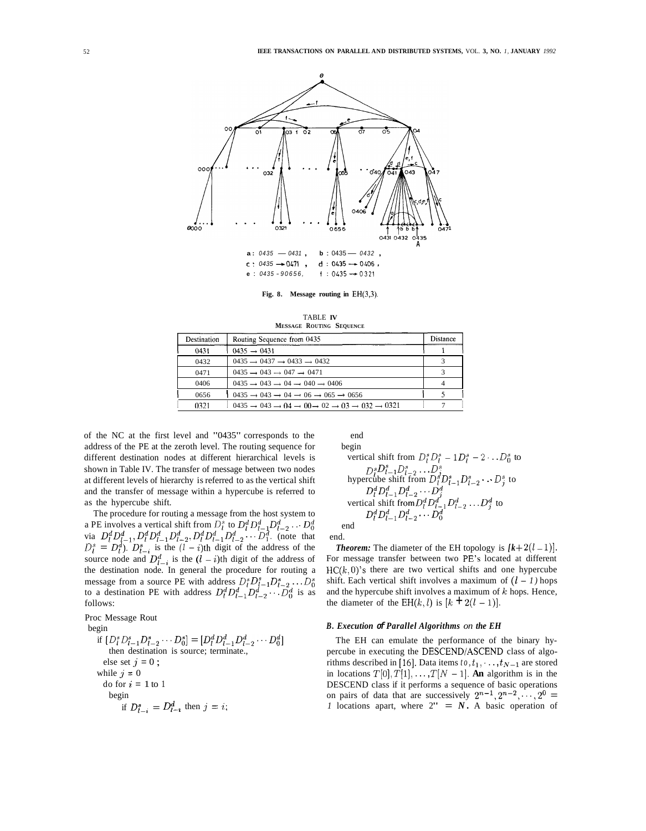

**Fig. 8. Message routing in** EH(3,3).

TABLE **IV MESSAGE ROUTING SEQUENCE** 

| Destination | Routing Sequence from 0435                                                                                                  | Distance |
|-------------|-----------------------------------------------------------------------------------------------------------------------------|----------|
| 0431        | $0435 \rightarrow 0431$                                                                                                     |          |
| 0432        | $0435 \rightarrow 0437 \rightarrow 0433 \rightarrow 0432$                                                                   |          |
| 0471        | $0435 \rightarrow 043 \rightarrow 047 \rightarrow 0471$                                                                     |          |
| 0406        | $0435 \rightarrow 043 \rightarrow 04 \rightarrow 040 \rightarrow 0406$                                                      |          |
| 0656        | $0.435 \rightarrow 0.43 \rightarrow 0.4 \rightarrow 0.6 \rightarrow 0.65 \rightarrow 0.656$                                 |          |
| 0321        | $0.435 \rightarrow 0.43 \rightarrow 0.4 \rightarrow 0.0 \rightarrow 0.2 \rightarrow 0.3 \rightarrow 0.32 \rightarrow 0.321$ |          |

of the NC at the first level and "0435" corresponds to the address of the PE at the zeroth level. The routing sequence for different destination nodes at different hierarchical levels is shown in Table IV. The transfer of message between two nodes at different levels of hierarchy is referred to as the vertical shift and the transfer of message within a hypercube is referred to as the hypercube shift.

The procedure for routing a message from the host system to a PE involves a vertical shift from  $D_l^s$  to  $D_l^d D_{l-1}^d D_{l-2}^d \dots D_0^d$ via  $D_l^d D_{l-1}^d$ ,  $D_l^d D_{l-1}^d D_{l-2}^d$ ,  $D_l^d D_{l-1}^d D_{l-2}^d \cdots D_1^d$ . (note that  $D_l^s = D_l^d$ ).  $D_{l-i}^s$  is the  $(l-i)$ th digit of the address of the  $D_l^{\alpha} = D_l^{\alpha}$ ).  $D_{l-i}^{\alpha}$  is the  $(l - i)$ th digit of the address of the source node and  $D_{l-i}^d$  is the  $(l - i)$ th digit of the address of the destination node. In general the procedure for routing a message from a source PE with address  $D_l^s D_{l-1}^s D_{l-2}^s \dots D_0^s$ to a destination PE with address  $D_l^d D_{l-1}^d D_{l-2}^d \cdots D_0^d$  is as follows:

Proc Message Rout

begin

if 
$$
[D_i^s D_{l-1}^s D_{l-2}^s \cdots D_0^s] = [D_i^d D_{l-1}^d D_{l-2}^d \cdots D_0^d]
$$
  
\nthen destination is source; terminate,  
\nelse set  $j = 0$ ;  
\nwhile  $j = 0$   
\ndo for  $i = 1$  to 1  
\nbegin  
\nif  $D_{l-i}^s = D_{l-i}^d$  then  $j = i$ ;

end  
\nbegin  
\n
$$
\begin{array}{ll}\n\text{begin} & \text{vertical shift from } D_l^s D_l^s - 1 D_l^s - 2 \cdot \ldots D_0^s \text{ to} \\
D_l^s D_{l-1}^s D_{l-2}^s \cdot \ldots D_j^s \\
\text{hypercube shift from } D_l^s D_{l-1}^s D_{l-2}^s \cdot \ldots D_j^s \text{ to} \\
D_l^d D_{l-1}^d D_{l-2}^d \cdot \ldots D_j^d \\
\text{vertical shift from } D_l^d D_{l-1}^d D_{l-2}^d \ldots D_j^d \text{ to} \\
D_l^d D_{l-1}^d D_{l-2}^d \cdots D_0^d\n\end{array}
$$

end.

**Theorem:** The diameter of the EH topology is  $[k+2(l-1)]$ . For message transfer between two PE's located at different  $HC(k, 0)$ 's there are two vertical shifts and one hypercube shift. Each vertical shift involves a maximum of  $(l - 1)$  hops and the hypercube shift involves a maximum of  $k$  hops. Hence, the diameter of the EH(k, l) is  $[k + 2(l - 1)]$ .

#### *B. Execution of Parallel Algorithms on the EH*

The EH can emulate the performance of the binary hypercube in executing the DESCEND/ASCEND class of algorithms described in [16]. Data items  $to, t_1, \ldots, t_{N-1}$  are stored in locations  $T[0], T[1], \ldots, T[N-1]$ . **An** algorithm is in the DESCEND class if it performs a sequence of basic operations on pairs of data that are successively  $2^{n-1}$ ,  $2^{n-2}$ , ...,  $2^0$  = *1* locations apart, where  $2'' = N$ . A basic operation of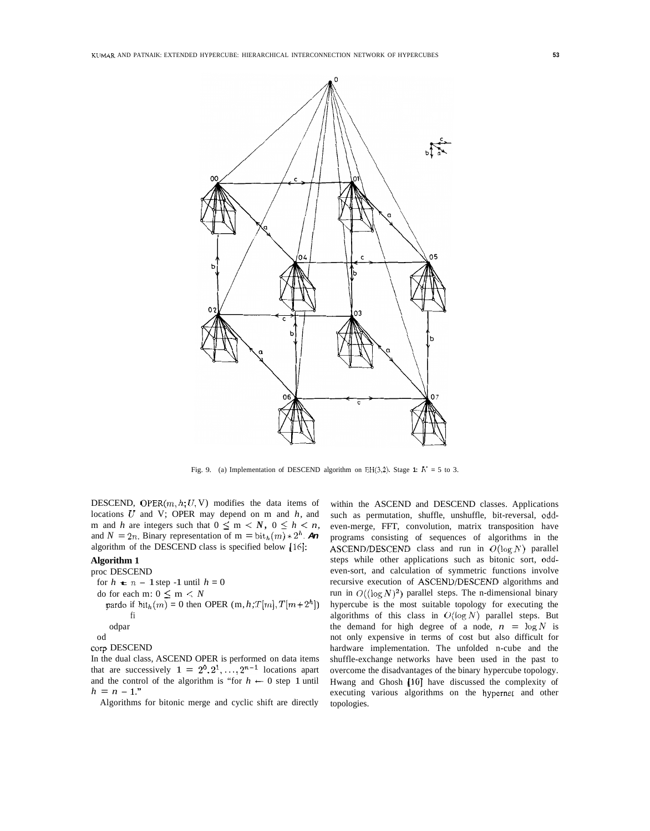

Fig. 9. (a) Implementation of DESCEND algorithm on EH(3,2). Stage 1:  $K = 5$  to 3.

DESCEND, OPER $(m, h; U, V)$  modifies the data items of locations *U* and V; OPER may depend on m and *h,* and m and *h* are integers such that  $0 \le m \le N$ ,  $0 \le h \le n$ , and  $N = 2n$ . Binary representation of  $m = \text{bit}_h(m) * 2^h$ . An algorithm of the DESCEND class is specified below [16]:

# **Algorithm 1**

proc DESCEND for  $h \neq n - 1$  step -1 until  $h = 0$ do for each m:  $0 \le m < N$ pardo if  $bit_h(m) = 0$  then OPER  $(m, h; T[m], T[m+2^h])$ fi odpar od

corp DESCEND

In the dual class, ASCEND OPER is performed on data items that are successively  $1 = 2^0, 2^1, \ldots, 2^{n-1}$  locations apart and the control of the algorithm is "for  $h \leftarrow 0$  step 1 until  $h = n - 1.$ "

Algorithms for bitonic merge and cyclic shift are directly

within the ASCEND and DESCEND classes. Applications such as permutation, shuffle, unshuffle, bit-reversal, oddeven-merge, FFT, convolution, matrix transposition have programs consisting of sequences of algorithms in the ASCEND/DESCEND class and run in O(1og *N)* parallel steps while other applications such as bitonic sort, oddeven-sort, and calculation of symmetric functions involve recursive execution of ASCEND/DESCEND algorithms and run in  $O((\log N)^2)$  parallel steps. The n-dimensional binary hypercube is the most suitable topology for executing the algorithms of this class in  $O(\log N)$  parallel steps. But the demand for high degree of a node,  $n = \log N$  is not only expensive in terms of cost but also difficult for hardware implementation. The unfolded n-cube and the shuffle-exchange networks have been used in the past to overcome the disadvantages of the binary hypercube topology. Hwang and Ghosh [10] have discussed the complexity of executing various algorithms on the hypernet and other topologies.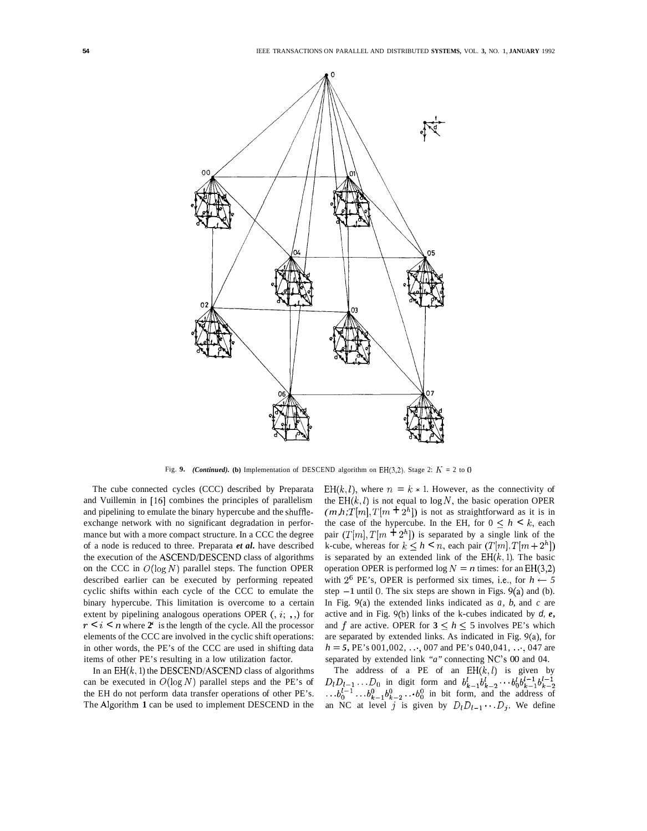

Fig. 9. *(Continued).* (b) Implementation of DESCEND algorithm on EH(3,2). Stage 2:  $K = 2$  to 0

The cube connected cycles (CCC) described by Preparata and Vuillemin in **[16]** combines the principles of parallelism and pipelining to emulate the binary hypercube and the shuffleexchange network with no significant degradation in performance but with a more compact structure. In a CCC the degree of a node is reduced to three. Preparata *et al.* have described the execution of the ASCEND/DESCEND class of algorithms on the CCC in  $O(log N)$  parallel steps. The function OPER described earlier can be executed by performing repeated cyclic shifts within each cycle of the CCC to emulate the binary hypercube. This limitation is overcome to a certain extent by pipelining analogous operations OPER  $(0, i, \cdot)$  for  $r < i < n$  where  $2^i$  is the length of the cycle. All the processor elements of the CCC are involved in the cyclic shift operations: in other words, the PE's of the CCC are used in shifting data items of other PE's resulting in a low utilization factor.

In an  $EH(k, 1)$  the DESCEND/ASCEND class of algorithms can be executed in  $O(\log N)$  parallel steps and the PE's of the EH do not perform data transfer operations of other PE's. The Algorithm **1** can be used to implement DESCEND in the

EH(k, l), where  $n = k \times 1$ . However, as the connectivity of the  $EH(k, l)$  is not equal to  $log N$ , the basic operation OPER  $(m, h; T[m], T[m + 2<sup>h</sup>]$  is not as straightforward as it is in the case of the hypercube. In the EH, for  $0 \leq h \leq k$ , each pair  $(T[m], T[m + 2<sup>h</sup>])$  is separated by a single link of the k-cube, whereas for  $k \leq h \leq n$ , each pair  $(T[m], T[m + 2^h])$ is separated by an extended link of the  $EH(k, 1)$ . The basic operation OPER is performed  $\log N = n$  times: for an EH(3,2) with  $2^6$  PE's, OPER is performed six times, i.e., for  $h \leftarrow 5$ step  $-1$  until 0. The six steps are shown in Figs. 9(a) and (b). In Fig. 9(a) the extended links indicated as *a, b,* and *c* are active and in Fig. 9(b) links of the k-cubes indicated by *d, e,*  and *f* are active. OPER for  $3 \leq h \leq 5$  involves PE's which are separated by extended links. As indicated in Fig. 9(a), for  $h = 5$ , PE's 001,002,  $\dots$ , 007 and PE's 040,041,  $\dots$ , 047 are separated by extended link *"a"* connecting NC's 00 and 04.

The address of a PE of an  $EH(k, l)$  is given by  $D_l D_{l-1} \ldots D_0$  in digit form and  $b_{k-1}^l b_{k-2}^l \cdots b_0^l b_{k-1}^{l-1} b_{k-2}^{l-1}$  $\ldots$  $b_0^{l-1}$ .  $\ldots$  $b_{k-1}^0$  $b_{k-2}^0$   $\ldots$  $b_0^0$  in bit form, and the address of an NC at level *j* is given by  $D_l D_{l-1} \cdots D_j$ . We define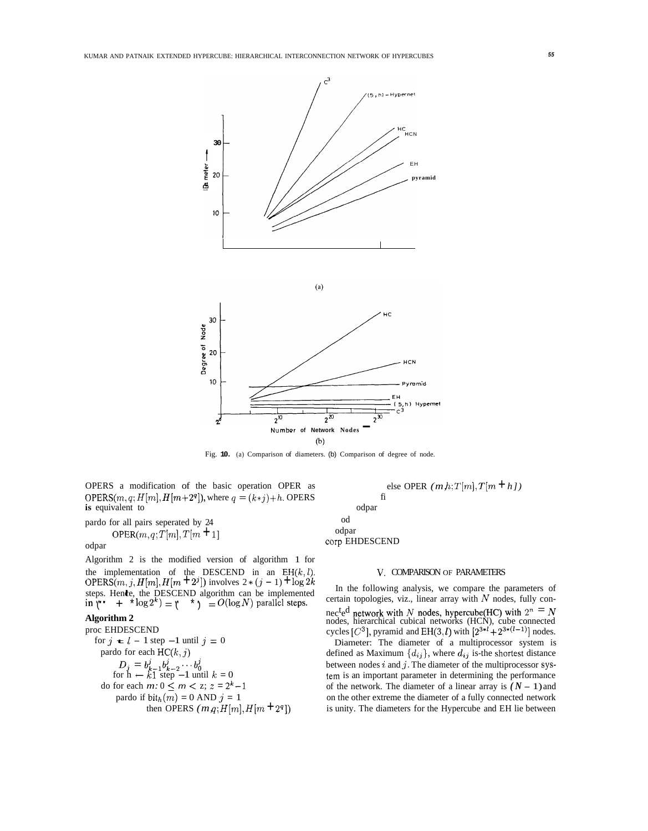



Fig. **10.** (a) Comparison of diameters. (b) Comparison of degree of node.

od odpar

OPERS a modification of the basic operation OPER as **is equivalent to** odpar OPERS $(m, q; H[m], H[m+2^q])$ , where  $q = (k \cdot j) + h$ . OPERS fi

pardo for all pairs seperated by 24 OPER $(m, q; T[m], T[m+1]$ 

odpar

Algorithm 2 is the modified version of algorithm 1 for the implementation of the DESCEND in an EH(k, l). V. COMPARISON OF PARAMETERS<br>OPERS(*m*, *j*, *H*[*m*], *H*[*m*  $+2^j$ ]) involves  $2*(j-1) + \log 2k$  In the following analysis, we compare the r

# **Algorithm 2**

proc EHDESCEND for  $j \neq l - 1$  step  $-1$  until  $j = 0$ <br>pardo for each HC( $k, j$ )  $D_j = b_{k-1}^j b_{k-2}^j \cdots b_0^j$ <br>for  $h \leftarrow k1$  step -1 until  $k = 0$ do for each  $m: 0 \le m < z$ ;  $z = 2^k - 1$ pardo if  $bit<sub>h</sub>(m) = 0$  AND  $j = 1$ then OPERS  $(m,q; H[m], H[m+2^q])$ 

else OPER  $(m,h;T[m],T[m+h])$ corp EHDESCEND

steps. Hence, the DESCEND algorithm can be implemented<br>
in '(" + \* log 2<sup>k</sup>) = '(" \* ) =  $O(\log N)$  parallel steps.<br>
Algorithm 2 In the following analysis, we compare the parameters of certain topologies, viz., linear array with  $N$  nodes, fully connec<sup>t</sup>ed network with *N* nodes, hypercube(HC) with  $2^n = N$  nodes, hierarchical cubical networks (HCN), cube connected cycles  $[C^3]$ , pyramid and EH(3, *I*) with  $[2^{3*1} + 2^{3*(1-1)}]$  nodes.

Diameter: The diameter of a multiprocessor system is pardo for each  $HC(k, j)$  defined as Maximum  ${d_i}$ , where  $d_{ij}$  is-the shortest distance between nodes *i* and *j.* The diameter of the multiprocessor systern is an important parameter in determining the performance of the network. The diameter of a linear array is  $(N - 1)$  and on the other extreme the diameter of a fully connected network is unity. The diameters for the Hypercube and EH lie between